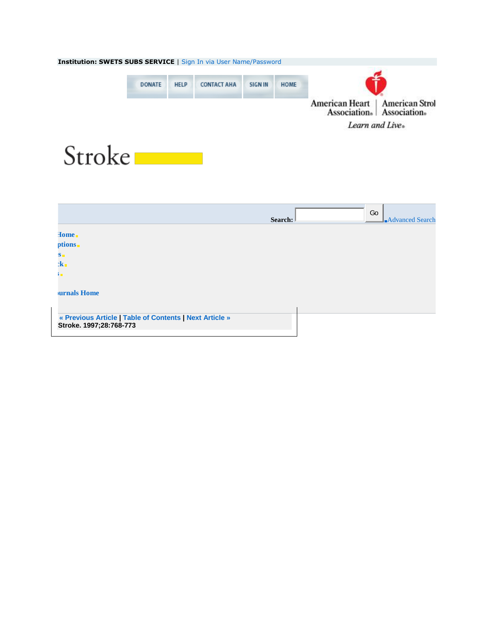<span id="page-0-0"></span>

|                                                                                    | Search: | Go<br><b>Advanced Search</b> |
|------------------------------------------------------------------------------------|---------|------------------------------|
| Home <sub>n</sub>                                                                  |         |                              |
| ptions.                                                                            |         |                              |
| $S_{\blacksquare}$                                                                 |         |                              |
| $2k_{\perp}$                                                                       |         |                              |
| ŶШ                                                                                 |         |                              |
| <b>urnals Home</b>                                                                 |         |                              |
|                                                                                    |         |                              |
| « Previous Article   Table of Contents   Next Article »<br>Stroke. 1997;28:768-773 |         |                              |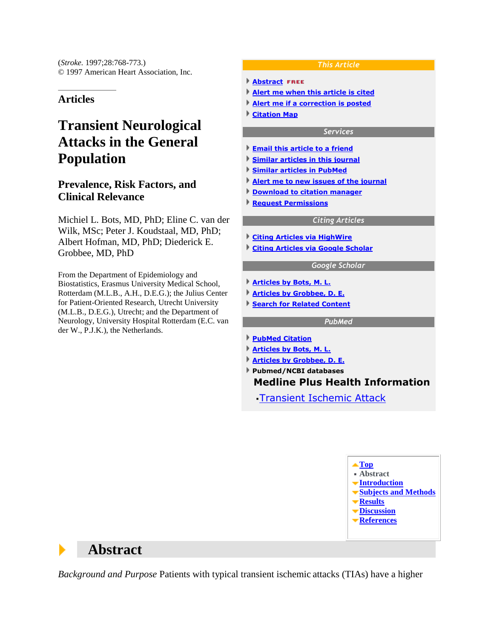(*Stroke.* 1997;28:768-773.) © 1997 American Heart Association, Inc.

### **Articles**

# **Transient Neurological Attacks in the General Population**

### **Prevalence, Risk Factors, and Clinical Relevance**

Michiel L. Bots, MD, PhD; Eline C. van der Wilk, MSc; Peter J. Koudstaal, MD, PhD; Albert Hofman, MD, PhD; Diederick E. Grobbee, MD, PhD

From the Department of Epidemiology and Biostatistics, Erasmus University Medical School, Rotterdam (M.L.B., A.H., D.E.G.); the Julius Center for Patient-Oriented Research, Utrecht University (M.L.B., D.E.G.), Utrecht; and the Department of Neurology, University Hospital Rotterdam (E.C. van der W., P.J.K.), the Netherlands.

#### *This Article*

- **[Abstract](http://stroke.ahajournals.org/cgi/content/abstract/28/4/768) FREE**
- **[Alert me when this article is cited](http://stroke.ahajournals.org/cgi/alerts/ctalert?alertType=citedby&addAlert=cited_by&saveAlert=no&cited_by_criteria_resid=strokeaha;28/4/768&return_type=article&return_url=http%3A%2F%2Fstroke.ahajournals.org%2Fcgi%2Fcontent%2Ffull%2F28%2F4%2F768)**
- **[Alert me if a correction is posted](http://stroke.ahajournals.org/cgi/alerts/ctalert?alertType=correction&addAlert=correction&saveAlert=no&correction_criteria_value=28/4/768&return_type=article&return_url=http%3A%2F%2Fstroke.ahajournals.org%2Fcgi%2Fcontent%2Ffull%2F28%2F4%2F768)**
- **[Citation Map](http://stroke.ahajournals.org/cgi/citemap?id=strokeaha;28/4/768)**

#### *Services*

- **[Email this article to a friend](http://stroke.ahajournals.org/cgi/mailafriend?url=http%3A%2F%2Fstroke.ahajournals.org%2Fcgi%2Fcontent%2Ffull%2F28%2F4%2F768&title=Transient+Neurological+Attacks+in+the+General+Population+%3A+Prevalence%2C+Risk+Factors%2C+and+Clinical+Relevance)**
- **[Similar articles in this journal](http://stroke.ahajournals.org/cgi/search?qbe=strokeaha;28/4/768&journalcode=strokeaha&minscore=5000)**
- **[Similar articles in PubMed](http://stroke.ahajournals.org/cgi/external_ref?access_num=9099194&link_type=MED_NBRS)**
- **[Alert me to new issues of the journal](http://www.ahajournals.org/cgi/alerts/etoc)**
- **[Download to citation manager](http://stroke.ahajournals.org/cgi/citmgr?gca=strokeaha;28/4/768)**
- **Request Permissions**

#### *Citing Articles*

**[Citing Articles via HighWire](#page-12-0) [Citing Articles via Google Scholar](http://stroke.ahajournals.org/cgi/external_ref?access_num=http://stroke.ahajournals.org/cgi/content/abstract/28/4/768&link_type=GOOGLESCHOLAR)**

#### *Google Scholar*

- **[Articles by Bots, M. L.](http://scholar.google.com/scholar?q=%22author%3AM.%20L.+author%3ABots%22)**
- **[Articles by Grobbee, D. E.](http://scholar.google.com/scholar?q=%22author%3AD.%20E.+author%3AGrobbee%22)**
- **[Search for Related Content](http://stroke.ahajournals.org/cgi/external_ref?access_num=http://stroke.ahajournals.org/cgi/content/abstract/28/4/768&link_type=GOOGLESCHOLARRELATED)**

#### *PubMed*

- **[PubMed Citation](http://stroke.ahajournals.org/cgi/external_ref?access_num=9099194&link_type=PUBMED)**
- **[Articles by Bots, M. L.](http://stroke.ahajournals.org/cgi/external_ref?access_num=Bots+ML&link_type=AUTHORSEARCH)**
- **[Articles by Grobbee, D. E.](http://stroke.ahajournals.org/cgi/external_ref?access_num=Grobbee+DE&link_type=AUTHORSEARCH)**
- **Pubmed/NCBI databases Medline Plus Health Information**

[Transient Ischemic Attack](http://stroke.ahajournals.org/cgi/external_ref?id=MEDPLUS&target=http%3A%2F%2Fwww.nlm.nih.gov%2Fmedlineplus%2Ftransientischemicattack.html&type=llinks&pmid=9099194&link_type=ENTREZLINKS)

**[Top](#page-0-0) Abstract [Introduction](#page-2-0) [Subjects and Methods](#page-2-0) [Results](#page-5-0) [Discussion](#page-5-0) [References](#page-10-0)**

## **Abstract**

Þ

*Background and Purpose* Patients with typical transient ischemic attacks (TIAs) have a higher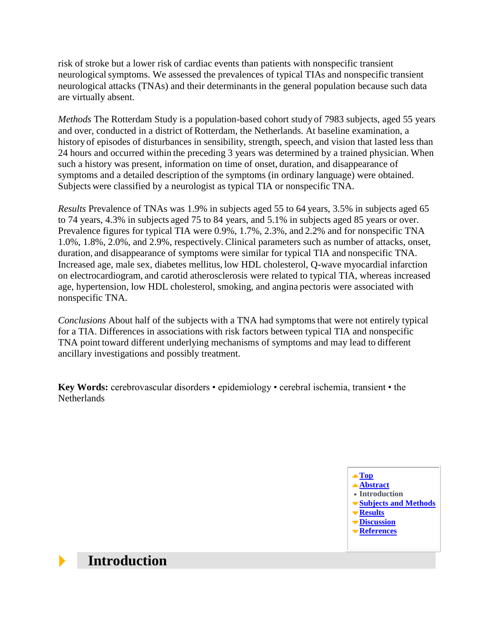risk of stroke but a lower risk of cardiac events than patients with nonspecific transient neurological symptoms. We assessed the prevalences of typical TIAs and nonspecific transient neurological attacks (TNAs) and their determinants in the general population because such data are virtually absent.

*Methods* The Rotterdam Study is a population-based cohort study of 7983 subjects, aged 55 years and over, conducted in a district of Rotterdam, the Netherlands. At baseline examination, a history of episodes of disturbances in sensibility, strength, speech, and vision that lasted less than 24 hours and occurred within the preceding 3 years was determined by a trained physician. When such a history was present, information on time of onset, duration, and disappearance of symptoms and a detailed description of the symptoms (in ordinary language) were obtained. Subjects were classified by a neurologist as typical TIA or nonspecific TNA.

*Results* Prevalence of TNAs was 1.9% in subjects aged 55 to 64 years, 3.5% in subjects aged 65 to 74 years, 4.3% in subjects aged 75 to 84 years, and 5.1% in subjects aged 85 years or over. Prevalence figures for typical TIA were 0.9%, 1.7%, 2.3%, and 2.2% and for nonspecific TNA 1.0%, 1.8%, 2.0%, and 2.9%, respectively. Clinical parameters such as number of attacks, onset, duration, and disappearance of symptoms were similar for typical TIA and nonspecific TNA. Increased age, male sex, diabetes mellitus, low HDL cholesterol, Q-wave myocardial infarction on electrocardiogram, and carotid atherosclerosis were related to typical TIA, whereas increased age, hypertension, low HDL cholesterol, smoking, and angina pectoris were associated with nonspecific TNA.

*Conclusions* About half of the subjects with a TNA had symptoms that were not entirely typical for a TIA. Differences in associations with risk factors between typical TIA and nonspecific TNA point toward different underlying mechanisms of symptoms and may lead to different ancillary investigations and possibly treatment.

<span id="page-2-0"></span>**Key Words:** cerebrovascular disorders • epidemiology • cerebral ischemia, transient • the **Netherlands** 



## **Introduction**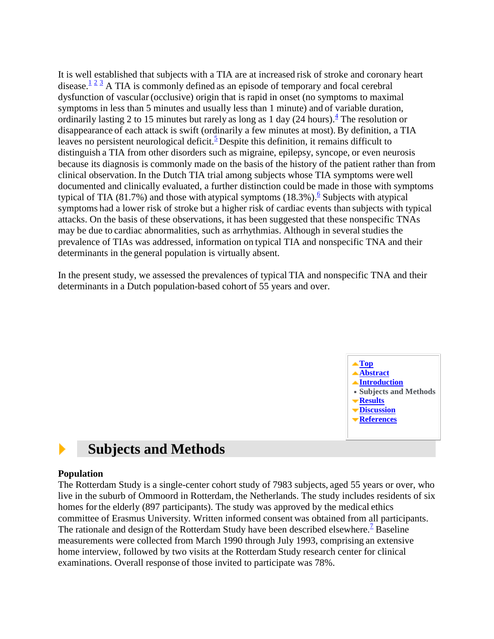It is well established that subjects with a TIA are at increased risk of stroke and coronary heart disease[.](#page-10-1)<sup> $\frac{1}{2}$  $\frac{1}{2}$  $\frac{1}{2}$ </sup>  $\frac{3}{2}$  $\frac{3}{2}$  $\frac{3}{2}$  A TIA is commonly defined as an episode of temporary and focal cerebral dysfunction of vascular (occlusive) origin that is rapid in onset (no symptoms to maximal symptoms in less than 5 minutes and usually less than 1 minute) and of variable duration, ordinarily lasting 2 to 15 minutes but rarely as long as 1 day  $(24 \text{ hours})$  $(24 \text{ hours})$  $(24 \text{ hours})$ .<sup>4</sup> The resolution or disappearance of each attack is swift (ordinarily a few minutes at most). By definition, a TIA leaves no persistent neurological deficit[.](#page-11-0)<sup>5</sup> Despite this definition, it remains difficult to distinguish a TIA from other disorders such as migraine, epilepsy, syncope, or even neurosis because its diagnosis is commonly made on the basis of the history of the patient rather than from clinical observation. In the Dutch TIA trial among subjects whose TIA symptoms were well documented and clinically evaluated, a further distinction could be made in those with symptoms typical of TIA (81.7%) and those with atypical symptoms  $(18.3\%)$ . Subjects with atypical symptoms had a lower risk of stroke but a higher risk of cardiac events than subjects with typical attacks. On the basis of these observations, it has been suggested that these nonspecific TNAs may be due to cardiac abnormalities, such as arrhythmias. Although in several studies the prevalence of TIAs was addressed, information on typical TIA and nonspecific TNA and their determinants in the general population is virtually absent.

<span id="page-3-0"></span>In the present study, we assessed the prevalences of typical TIA and nonspecific TNA and their determinants in a Dutch population-based cohort of 55 years and over.



#### **Subjects and Methods**  Þ

### **Population**

The Rotterdam Study is a single-center cohort study of 7983 subjects, aged 55 years or over, who live in the suburb of Ommoord in Rotterdam, the Netherlands. The study includes residents of six homes for the elderly (897 participants). The study was approved by the medical ethics committee of Erasmus University. Written informed consent was obtained from all participants. The rationale and design of the Rotterdam Study have been described elsewhere.<sup>[7](#page-11-2)</sup> Baseline measurements were collected from March 1990 through July 1993, comprising an extensive home interview, followed by two visits at the Rotterdam Study research center for clinical examinations. Overall response of those invited to participate was 78%.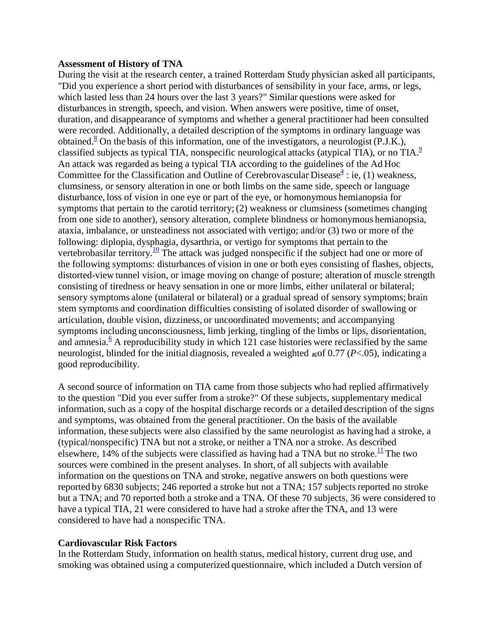### **Assessment of History of TNA**

During the visit at the research center, a trained Rotterdam Study physician asked all participants, "Did you experience a short period with disturbances of sensibility in your face, arms, or legs, which lasted less than 24 hours over the last 3 years?" Similar questions were asked for disturbances in strength, speech, and vision. When answers were positive, time of onset, duration, and disappearance of symptoms and whether a general practitioner had been consulted were recorded. Additionally, a detailed description of the symptoms in ordinary language was obtained[.](#page-11-3)<sup>8</sup> On the basis of this information, one of the investigators, a neurologist (P.J.K.), classified subjects as typical TIA, nonspecific neurological attacks (atypical TIA), or no  $TIA$ .<sup>[9](#page-11-4)</sup> An attack was regarded as being a typical TIA according to the guidelines of the Ad Hoc Committee for the Classification and Outline of Cerebrovascular Disease $\frac{4}{3}$  $\frac{4}{3}$  $\frac{4}{3}$ : ie, (1) weakness, clumsiness, or sensory alteration in one or both limbs on the same side, speech or language disturbance, loss of vision in one eye or part of the eye, or homonymous hemianopsia for symptoms that pertain to the carotid territory; (2) weakness or clumsiness (sometimes changing from one side to another), sensory alteration, complete blindness or homonymous hemianopsia, ataxia, imbalance, or unsteadiness not associated with vertigo; and/or (3) two or more of the following: diplopia, dysphagia, dysarthria, or vertigo for symptoms that pertain to the vertebrobasilar territory.<sup>[10](#page-11-5)</sup> The attack was judged nonspecific if the subject had one or more of the following symptoms: disturbances of vision in one or both eyes consisting of flashes, objects, distorted-view tunnel vision, or image moving on change of posture; alteration of muscle strength consisting of tiredness or heavy sensation in one or more limbs, either unilateral or bilateral; sensory symptoms alone (unilateral or bilateral) or a gradual spread of sensory symptoms; brain stem symptoms and coordination difficulties consisting of isolated disorder of swallowing or articulation, double vision, dizziness, or uncoordinated movements; and accompanying symptoms including unconsciousness, limb jerking, tingling of the limbs or lips, disorientation, and amnesia[.](#page-11-1)<sup>6</sup> A reproducibility study in which 121 case histories were reclassified by the same neurologist, blinded for the initial diagnosis, revealed a weighted  $\kappa$  of 0.77 (*P*<.05), indicating a good reproducibility.

A second source of information on TIA came from those subjects who had replied affirmatively to the question "Did you ever suffer from a stroke?" Of these subjects, supplementary medical information, such as a copy of the hospital discharge records or a detailed description of the signs and symptoms, was obtained from the general practitioner. On the basis of the available information, these subjects were also classified by the same neurologist as having had a stroke, a (typical/nonspecific) TNA but not a stroke, or neither a TNA nor a stroke. As described elsewhere, 14% of the subjects were classified as having had a TNA but no stroke.<sup>[11](#page-11-6)</sup> The two sources were combined in the present analyses. In short, of all subjects with available information on the questions on TNA and stroke, negative answers on both questions were reported by 6830 subjects; 246 reported a stroke but not a TNA; 157 subjects reported no stroke but a TNA; and 70 reported both a stroke and a TNA. Of these 70 subjects, 36 were considered to have a typical TIA, 21 were considered to have had a stroke after the TNA, and 13 were considered to have had a nonspecific TNA.

### **Cardiovascular Risk Factors**

In the Rotterdam Study, information on health status, medical history, current drug use, and smoking was obtained using a computerized questionnaire, which included a Dutch version of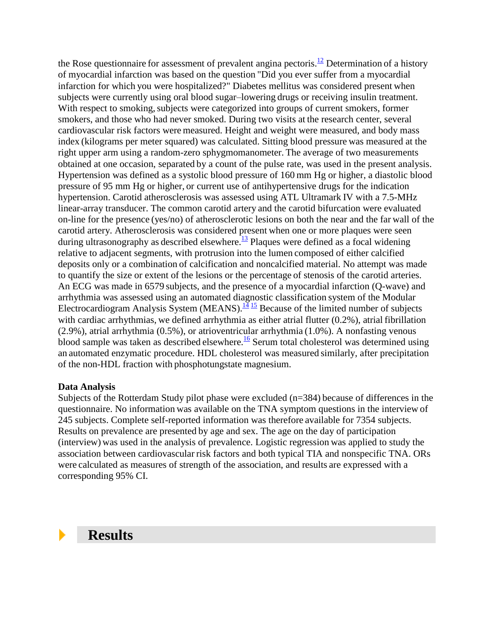the Rose questionnaire for assessment of prevalent angina pectoris.<sup>[12](#page-11-7)</sup> Determination of a history of myocardial infarction was based on the question "Did you ever suffer from a myocardial infarction for which you were hospitalized?" Diabetes mellitus was considered present when subjects were currently using oral blood sugar–lowering drugs or receiving insulin treatment. With respect to smoking, subjects were categorized into groups of current smokers, former smokers, and those who had never smoked. During two visits at the research center, several cardiovascular risk factors were measured. Height and weight were measured, and body mass index (kilograms per meter squared) was calculated. Sitting blood pressure was measured at the right upper arm using a random-zero sphygmomanometer. The average of two measurements obtained at one occasion, separated by a count of the pulse rate, was used in the present analysis. Hypertension was defined as a systolic blood pressure of 160 mm Hg or higher, a diastolic blood pressure of 95 mm Hg or higher, or current use of antihypertensive drugs for the indication hypertension. Carotid atherosclerosis was assessed using ATL Ultramark IV with a 7.5-MHz linear-array transducer. The common carotid artery and the carotid bifurcation were evaluated on-line for the presence (yes/no) of atherosclerotic lesions on both the near and the far wall of the carotid artery. Atherosclerosis was considered present when one or more plaques were seen during ultrasonography as described elsewhere.<sup>[13](#page-11-8)</sup> Plaques were defined as a focal widening relative to adjacent segments, with protrusion into the lumen composed of either calcified deposits only or a combination of calcification and noncalcified material. No attempt was made to quantify the size or extent of the lesions or the percentage of stenosis of the carotid arteries. An ECG was made in 6579 subjects, and the presence of a myocardial infarction (Q-wave) and arrhythmia was assessed using an automated diagnostic classification system of the Modular Electrocardiogram Analysis System (MEANS).<sup>[14](#page-11-9) [15](#page-11-10)</sup> Because of the limited number of subjects with cardiac arrhythmias, we defined arrhythmia as either atrial flutter (0.2%), atrial fibrillation (2.9%), atrial arrhythmia (0.5%), or atrioventricular arrhythmia (1.0%). A nonfasting venous blood sample was taken as described elsewhere.<sup>[16](#page-11-11)</sup> Serum total cholesterol was determined using an automated enzymatic procedure. HDL cholesterol was measured similarly, after precipitation of the non-HDL fraction with phosphotungstate magnesium.

### **Data Analysis**

Subjects of the Rotterdam Study pilot phase were excluded (n=384) because of differences in the questionnaire. No information was available on the TNA symptom questions in the interview of 245 subjects. Complete self-reported information was therefore available for 7354 subjects. Results on prevalence are presented by age and sex. The age on the day of participation (interview) was used in the analysis of prevalence. Logistic regression was applied to study the association between cardiovascular risk factors and both typical TIA and nonspecific TNA. ORs were calculated as measures of strength of the association, and results are expressed with a corresponding 95% CI.

## <span id="page-5-0"></span> **Results**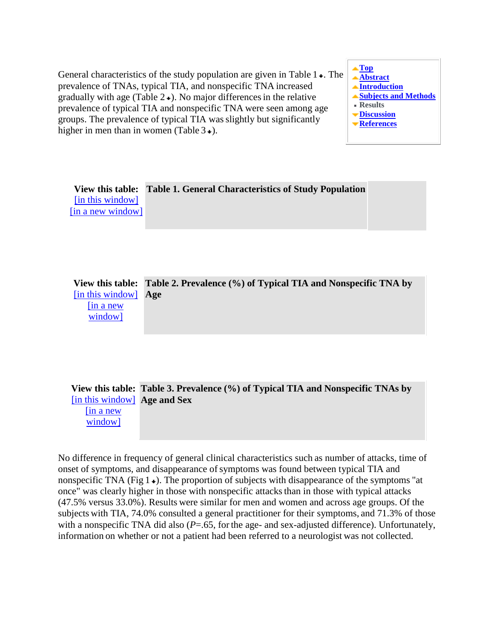General characteristics of the study population are given in Table  $1 \star$ . The prevalence of TNAs, typical TIA, and nonspecific TNA increased gradually with age (Table  $2\bullet$ ). No major differences in the relative prevalence of typical TIA and nonspecific TNA were seen among age groups. The prevalence of typical TIA wasslightly but significantly higher in men than in women (Table  $3\rightarrow$ [\)](#page-6-0).



**View this table: Table 1. General Characteristics of Study Population** [\[in this window\]](http://stroke.ahajournals.org/cgi/content/full/28/4/768/T1) [\[in a new window\]](http://stroke.ahajournals.org/cgi/content-nw/full/28/4/768/T1)

**View this table: Table 2. Prevalence (%) of Typical TIA and Nonspecific TNA by**  [\[in this window\]](http://stroke.ahajournals.org/cgi/content/full/28/4/768/T2) **Age** [\[in a new](http://stroke.ahajournals.org/cgi/content-nw/full/28/4/768/T2)  [window\]](http://stroke.ahajournals.org/cgi/content-nw/full/28/4/768/T2)

<span id="page-6-0"></span>

|                              | View this table: Table 3. Prevalence (%) of Typical TIA and Nonspecific TNAs by |
|------------------------------|---------------------------------------------------------------------------------|
| [in this window] Age and Sex |                                                                                 |

[\[in a new](http://stroke.ahajournals.org/cgi/content-nw/full/28/4/768/T3)  [window\]](http://stroke.ahajournals.org/cgi/content-nw/full/28/4/768/T3)

<span id="page-6-1"></span>No difference in frequency of general clinical characteristics such as number of attacks, time of onset of symptoms, and disappearance of symptoms was found between typical TIA and nonspecific TNA (Fig  $1 \star$ [\)](#page-6-1). The proportion of subjects with disappearance of the symptoms "at once" was clearly higher in those with nonspecific attacks than in those with typical attacks (47.5% versus 33.0%). Results were similar for men and women and across age groups. Of the subjects with TIA, 74.0% consulted a general practitioner for their symptoms, and 71.3% of those with a nonspecific TNA did also  $(P=.65)$ , for the age- and sex-adjusted difference). Unfortunately, information on whether or not a patient had been referred to a neurologist was not collected.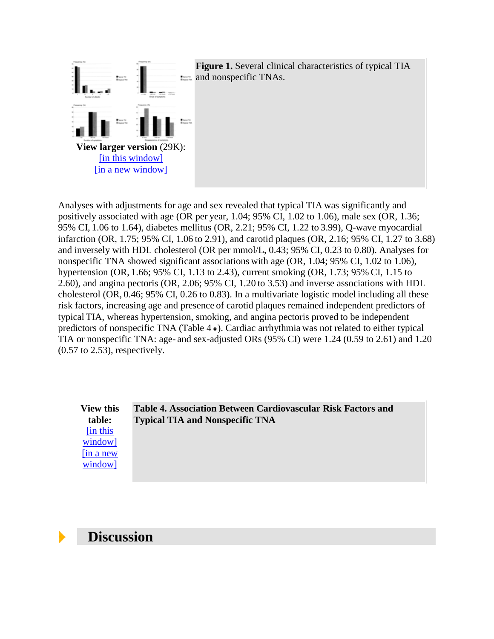

Analyses with adjustments for age and sex revealed that typical TIA was significantly and positively associated with age (OR per year, 1.04; 95% CI, 1.02 to 1.06), male sex (OR, 1.36; 95% CI, 1.06 to 1.64), diabetes mellitus (OR, 2.21; 95% CI, 1.22 to 3.99), Q-wave myocardial infarction (OR, 1.75; 95% CI, 1.06 to 2.91), and carotid plaques (OR, 2.16; 95% CI, 1.27 to 3.68) and inversely with HDL cholesterol (OR per mmol/L, 0.43; 95% CI, 0.23 to 0.80). Analyses for nonspecific TNA showed significant associations with age (OR, 1.04; 95% CI, 1.02 to 1.06), hypertension (OR, 1.66; 95% CI, 1.13 to 2.43), current smoking (OR, 1.73; 95% CI, 1.15 to 2.60), and angina pectoris (OR, 2.06; 95% CI, 1.20 to 3.53) and inverse associations with HDL cholesterol (OR, 0.46; 95% CI, 0.26 to 0.83). In a multivariate logistic model including all these risk factors, increasing age and presence of carotid plaques remained independent predictors of typical TIA, whereas hypertension, smoking, and angina pectoris proved to be independent predictors of nonspecific TNA (Table  $4 \star$ [\)](#page-7-1). Cardiac arrhythmia was not related to either typical TIA or nonspecific TNA: age- and sex-adjusted ORs (95% CI) were 1.24 (0.59 to 2.61) and 1.20 (0.57 to 2.53), respectively.

<span id="page-7-1"></span>**View this table:** [\[in this](http://stroke.ahajournals.org/cgi/content/full/28/4/768/T4)  [window\]](http://stroke.ahajournals.org/cgi/content/full/28/4/768/T4) [\[in a new](http://stroke.ahajournals.org/cgi/content-nw/full/28/4/768/T4)  [window\]](http://stroke.ahajournals.org/cgi/content-nw/full/28/4/768/T4)

**Table 4. Association Between Cardiovascular Risk Factors and Typical TIA and Nonspecific TNA**

### <span id="page-7-0"></span> **Discussion**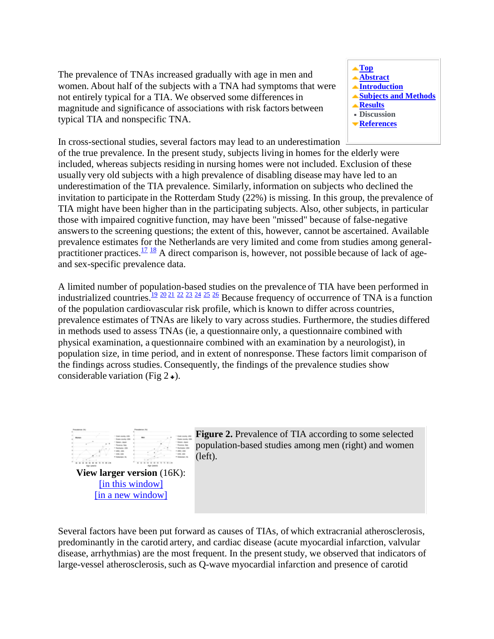The prevalence of TNAs increased gradually with age in men and women. About half of the subjects with a TNA had symptoms that were not entirely typical for a TIA. We observed some differencesin magnitude and significance of associations with risk factors between typical TIA and nonspecific TNA.



In cross-sectional studies, several factors may lead to an underestimation

of the true prevalence. In the present study, subjects living in homes for the elderly were included, whereas subjects residing in nursing homes were not included. Exclusion of these usually very old subjects with a high prevalence of disabling disease may have led to an underestimation of the TIA prevalence. Similarly, information on subjects who declined the invitation to participate in the Rotterdam Study (22%) is missing. In this group, the prevalence of TIA might have been higher than in the participating subjects. Also, other subjects, in particular those with impaired cognitive function, may have been "missed" because of false-negative answersto the screening questions; the extent of this, however, cannot be ascertained. Available prevalence estimates for the Netherlands are very limited and come from studies among general-practitioner practices.<sup>[17](#page-12-1)</sup> <sup>[18](#page-12-2)</sup> A direct comparison is, however, not possible because of lack of ageand sex-specific prevalence data.

A limited number of population-based studies on the prevalence of TIA have been performed in industrialized countries.<sup>[19](#page-12-3)</sup> [20](#page-12-4) [21](#page-12-5) [22](#page-12-6) [23](#page-12-7) [24](#page-12-8) [25](#page-12-9) [26](#page-12-10) Because frequency of occurrence of TNA is a function of the population cardiovascular risk profile, which is known to differ across countries, prevalence estimates of TNAs are likely to vary across studies. Furthermore, the studies differed in methods used to assess TNAs (ie, a questionnaire only, a questionnaire combined with physical examination, a questionnaire combined with an examination by a neurologist), in population size, in time period, and in extent of nonresponse. These factors limit comparison of the findings across studies. Consequently, the findings of the prevalence studies show considerable variation (Fig  $2 \div$ [\)](#page-8-0).

<span id="page-8-0"></span>

**Figure 2.** Prevalence of TIA according to some selected population-based studies among men (right) and women (left).

[\[in this window\]](http://stroke.ahajournals.org/cgi/content/full/28/4/768/F2) [\[in a new window\]](http://stroke.ahajournals.org/cgi/content-nw/full/28/4/768/F2)

Several factors have been put forward as causes of TIAs, of which extracranial atherosclerosis, predominantly in the carotid artery, and cardiac disease (acute myocardial infarction, valvular disease, arrhythmias) are the most frequent. In the presentstudy, we observed that indicators of large-vessel atherosclerosis, such as Q-wave myocardial infarction and presence of carotid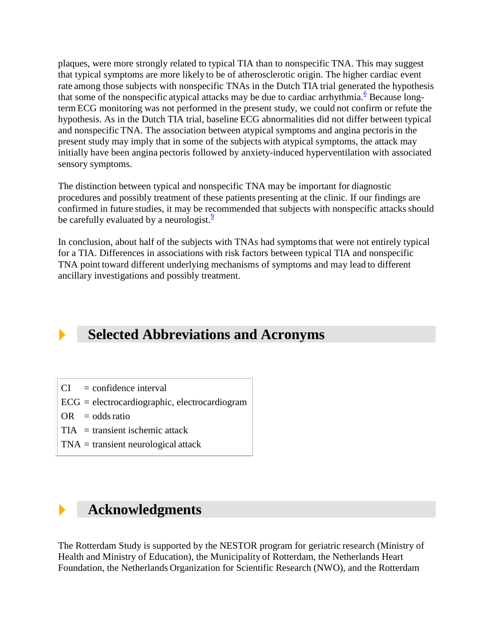plaques, were more strongly related to typical TIA than to nonspecific TNA. This may suggest that typical symptoms are more likely to be of atherosclerotic origin. The higher cardiac event rate among those subjects with nonspecific TNAs in the Dutch TIA trial generated the hypothesis that some of the nonspecific atypical attacks may be due to cardiac arrhythmia[.](#page-11-1)<sup>6</sup> Because longterm ECG monitoring was not performed in the present study, we could not confirm or refute the hypothesis. As in the Dutch TIA trial, baseline ECG abnormalities did not differ between typical and nonspecific TNA. The association between atypical symptoms and angina pectoris in the present study may imply that in some of the subjects with atypical symptoms, the attack may initially have been angina pectoris followed by anxiety-induced hyperventilation with associated sensory symptoms.

The distinction between typical and nonspecific TNA may be important for diagnostic procedures and possibly treatment of these patients presenting at the clinic. If our findings are confirmed in future studies, it may be recommended that subjects with nonspecific attacks should be carefully evaluated by a neurologist. $\frac{9}{2}$  $\frac{9}{2}$  $\frac{9}{2}$ 

In conclusion, about half of the subjects with TNAs had symptoms that were not entirely typical for a TIA. Differences in associations with risk factors between typical TIA and nonspecific TNA point toward different underlying mechanisms of symptoms and may lead to different ancillary investigations and possibly treatment.

# **Selected Abbreviations and Acronyms**

- $CI = confidence interval$
- ECG = electrocardiographic, electrocardiogram
- $OR = odds ratio$
- $TIA =$  transient ischemic attack
- TNA = transient neurological attack

## **Acknowledgments**

The Rotterdam Study is supported by the NESTOR program for geriatric research (Ministry of Health and Ministry of Education), the Municipality of Rotterdam, the Netherlands Heart Foundation, the Netherlands Organization for Scientific Research (NWO), and the Rotterdam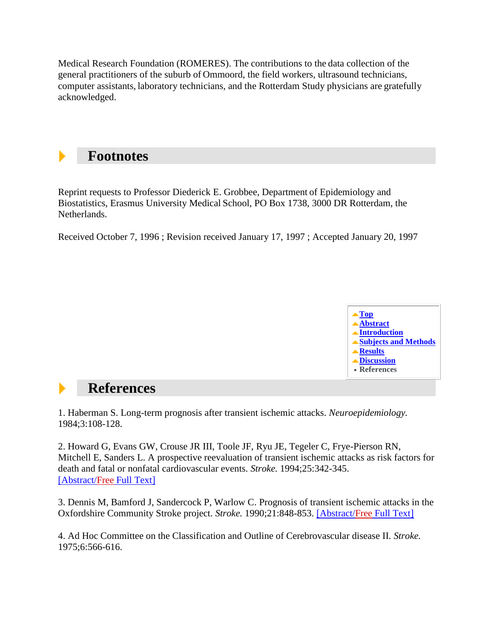Medical Research Foundation (ROMERES). The contributions to the data collection of the general practitioners of the suburb of Ommoord, the field workers, ultrasound technicians, computer assistants, laboratory technicians, and the Rotterdam Study physicians are gratefully acknowledged.

## **Footnotes**

Reprint requests to Professor Diederick E. Grobbee, Department of Epidemiology and Biostatistics, Erasmus University Medical School, PO Box 1738, 3000 DR Rotterdam, the Netherlands.

<span id="page-10-0"></span>Received October 7, 1996 ; Revision received January 17, 1997 ; Accepted January 20, 1997



#### **References**  b.

<span id="page-10-1"></span>1. Haberman S. Long-term prognosis after transient ischemic attacks. *Neuroepidemiology.* 1984;3:108-128.

<span id="page-10-2"></span>2. Howard G, Evans GW, Crouse JR III, Toole JF, Ryu JE, Tegeler C, Frye-Pierson RN, Mitchell E, Sanders L. A prospective reevaluation of transient ischemic attacks as risk factors for death and fatal or nonfatal cardiovascular events. *Stroke.* 1994;25:342-345. [\[Abstract/Free](http://stroke.ahajournals.org/cgi/ijlink?linkType=ABST&journalCode=strokeaha&resid=25/2/342) Full Text]

<span id="page-10-3"></span>3. Dennis M, Bamford J, Sandercock P, Warlow C. Prognosis of transient ischemic attacks in the Oxfordshire Community Stroke project. *Stroke.* 1990;21:848-853. [\[Abstract/Free](http://stroke.ahajournals.org/cgi/ijlink?linkType=ABST&journalCode=strokeaha&resid=21/6/848) Full Text]

<span id="page-10-4"></span>4. Ad Hoc Committee on the Classification and Outline of Cerebrovascular disease II. *Stroke.* 1975;6:566-616.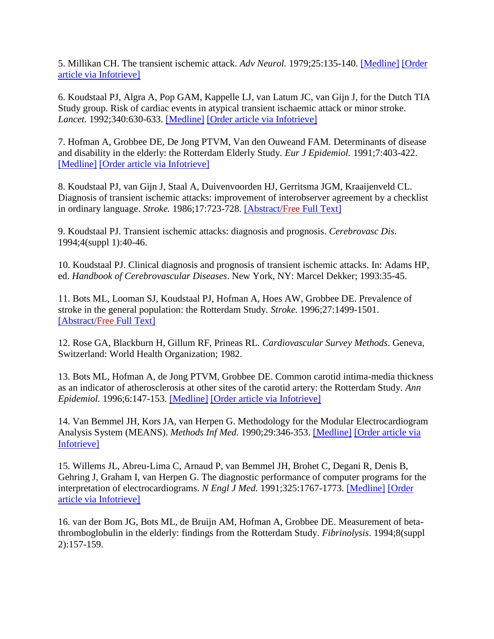<span id="page-11-0"></span>5. Millikan CH. The transient ischemic attack. *Adv Neurol.* 1979;25:135-140. [\[Medline\]](http://stroke.ahajournals.org/cgi/external_ref?access_num=506837&link_type=MED) [\[Order](http://stroke.ahajournals.org/cgi/external_ref?access_num=506837&displayid=7758&link_type=INFOTRIEVE)  [article via Infotrieve\]](http://stroke.ahajournals.org/cgi/external_ref?access_num=506837&displayid=7758&link_type=INFOTRIEVE)

<span id="page-11-1"></span>6. Koudstaal PJ, Algra A, Pop GAM, Kappelle LJ, van Latum JC, van Gijn J, for the Dutch TIA Study group. Risk of cardiac events in atypical transient ischaemic attack or minor stroke. *Lancet.* 1992;340:630-633. [\[Medline\]](http://stroke.ahajournals.org/cgi/external_ref?access_num=1355211&link_type=MED) [\[Order article via Infotrieve\]](http://stroke.ahajournals.org/cgi/external_ref?access_num=1355211&displayid=7758&link_type=INFOTRIEVE)

<span id="page-11-2"></span>7. Hofman A, Grobbee DE, De Jong PTVM, Van den Ouweand FAM. Determinants of disease and disability in the elderly: the Rotterdam Elderly Study. *Eur J Epidemiol.* 1991;7:403-422. [\[Medline\]](http://stroke.ahajournals.org/cgi/external_ref?access_num=1833235&link_type=MED) [\[Order article via Infotrieve\]](http://stroke.ahajournals.org/cgi/external_ref?access_num=1833235&displayid=7758&link_type=INFOTRIEVE)

<span id="page-11-3"></span>8. Koudstaal PJ, van Gijn J, Staal A, Duivenvoorden HJ, Gerritsma JGM, Kraaijenveld CL. Diagnosis of transient ischemic attacks: improvement of interobserver agreement by a checklist in ordinary language. *Stroke.* 1986;17:723-728. [\[Abstract/Free](http://stroke.ahajournals.org/cgi/ijlink?linkType=ABST&journalCode=strokeaha&resid=17/4/723) Full Text]

<span id="page-11-4"></span>9. Koudstaal PJ. Transient ischemic attacks: diagnosis and prognosis. *Cerebrovasc Dis*. 1994;4(suppl 1):40-46.

<span id="page-11-5"></span>10. Koudstaal PJ. Clinical diagnosis and prognosis of transient ischemic attacks. In: Adams HP, ed. *Handbook of Cerebrovascular Diseases*. New York, NY: Marcel Dekker; 1993:35-45.

<span id="page-11-6"></span>11. Bots ML, Looman SJ, Koudstaal PJ, Hofman A, Hoes AW, Grobbee DE. Prevalence of stroke in the general population: the Rotterdam Study. *Stroke.* 1996;27:1499-1501. [\[Abstract/Free](http://stroke.ahajournals.org/cgi/ijlink?linkType=ABST&journalCode=strokeaha&resid=27/9/1499) Full Text]

<span id="page-11-7"></span>12. Rose GA, Blackburn H, Gillum RF, Prineas RL. *Cardiovascular Survey Methods*. Geneva, Switzerland: World Health Organization; 1982.

<span id="page-11-8"></span>13. Bots ML, Hofman A, de Jong PTVM, Grobbee DE. Common carotid intima-media thickness as an indicator of atherosclerosis at other sites of the carotid artery: the Rotterdam Study. *Ann Epidemiol.* 1996;6:147-153. [\[Medline\]](http://stroke.ahajournals.org/cgi/external_ref?access_num=8775595&link_type=MED) [\[Order article via Infotrieve\]](http://stroke.ahajournals.org/cgi/external_ref?access_num=8775595&displayid=7758&link_type=INFOTRIEVE)

<span id="page-11-9"></span>14. Van Bemmel JH, Kors JA, van Herpen G. Methodology for the Modular Electrocardiogram Analysis System (MEANS). *Methods Inf Med.* 1990;29:346-353. [\[Medline\]](http://stroke.ahajournals.org/cgi/external_ref?access_num=2233382&link_type=MED) [\[Order article via](http://stroke.ahajournals.org/cgi/external_ref?access_num=2233382&displayid=7758&link_type=INFOTRIEVE)  [Infotrieve\]](http://stroke.ahajournals.org/cgi/external_ref?access_num=2233382&displayid=7758&link_type=INFOTRIEVE)

<span id="page-11-10"></span>15. Willems JL, Abreu-Lima C, Arnaud P, van Bemmel JH, Brohet C, Degani R, Denis B, Gehring J, Graham I, van Herpen G. The diagnostic performance of computer programs for the interpretation of electrocardiograms. *N Engl J Med.* 1991;325:1767-1773. [\[Medline\]](http://stroke.ahajournals.org/cgi/external_ref?access_num=1834940&link_type=MED) [\[Order](http://stroke.ahajournals.org/cgi/external_ref?access_num=1834940&displayid=7758&link_type=INFOTRIEVE)  [article via Infotrieve\]](http://stroke.ahajournals.org/cgi/external_ref?access_num=1834940&displayid=7758&link_type=INFOTRIEVE)

<span id="page-11-11"></span>16. van der Bom JG, Bots ML, de Bruijn AM, Hofman A, Grobbee DE. Measurement of betathromboglobulin in the elderly: findings from the Rotterdam Study. *Fibrinolysis*. 1994;8(suppl 2):157-159.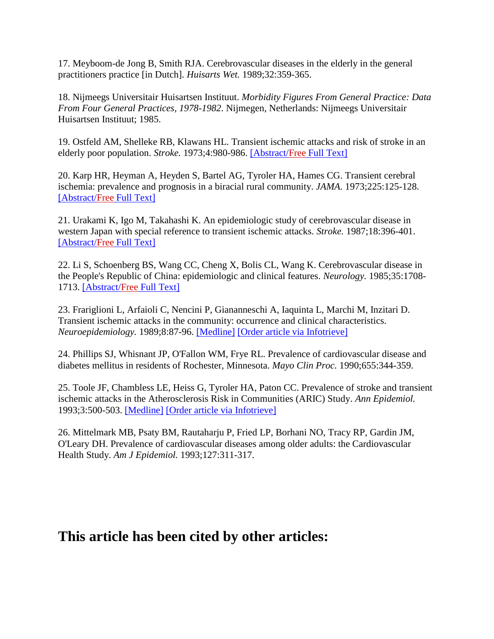<span id="page-12-1"></span>17. Meyboom-de Jong B, Smith RJA. Cerebrovascular diseases in the elderly in the general practitioners practice [in Dutch]. *Huisarts Wet.* 1989;32:359-365.

<span id="page-12-2"></span>18. Nijmeegs Universitair Huisartsen Instituut. *Morbidity Figures From General Practice: Data From Four General Practices, 1978-1982*. Nijmegen, Netherlands: Nijmeegs Universitair Huisartsen Instituut; 1985.

<span id="page-12-3"></span>19. Ostfeld AM, Shelleke RB, Klawans HL. Transient ischemic attacks and risk of stroke in an elderly poor population. *Stroke.* 1973;4:980-986. [\[Abstract/Free](http://stroke.ahajournals.org/cgi/ijlink?linkType=ABST&journalCode=strokeaha&resid=4/6/980) Full Text]

<span id="page-12-4"></span>20. Karp HR, Heyman A, Heyden S, Bartel AG, Tyroler HA, Hames CG. Transient cerebral ischemia: prevalence and prognosis in a biracial rural community. *JAMA.* 1973;225:125-128. [\[Abstract/Free](http://stroke.ahajournals.org/cgi/ijlink?linkType=ABST&journalCode=jama&resid=225/2/125) Full Text]

<span id="page-12-5"></span>21. Urakami K, Igo M, Takahashi K. An epidemiologic study of cerebrovascular disease in western Japan with special reference to transient ischemic attacks. *Stroke.* 1987;18:396-401. [\[Abstract/Free](http://stroke.ahajournals.org/cgi/ijlink?linkType=ABST&journalCode=strokeaha&resid=18/2/396) Full Text]

<span id="page-12-6"></span>22. Li S, Schoenberg BS, Wang CC, Cheng X, Bolis CL, Wang K. Cerebrovascular disease in the People's Republic of China: epidemiologic and clinical features. *Neurology.* 1985;35:1708- 1713. [\[Abstract/Free](http://stroke.ahajournals.org/cgi/ijlink?linkType=ABST&journalCode=neurology&resid=35/12/1708) Full Text]

<span id="page-12-7"></span>23. Frariglioni L, Arfaioli C, Nencini P, Giananneschi A, Iaquinta L, Marchi M, Inzitari D. Transient ischemic attacks in the community: occurrence and clinical characteristics. *Neuroepidemiology.* 1989;8:87-96. [\[Medline\]](http://stroke.ahajournals.org/cgi/external_ref?access_num=2922102&link_type=MED) [\[Order article via Infotrieve\]](http://stroke.ahajournals.org/cgi/external_ref?access_num=2922102&displayid=7758&link_type=INFOTRIEVE)

<span id="page-12-8"></span>24. Phillips SJ, Whisnant JP, O'Fallon WM, Frye RL. Prevalence of cardiovascular disease and diabetes mellitus in residents of Rochester, Minnesota. *Mayo Clin Proc.* 1990;655:344-359.

<span id="page-12-9"></span>25. Toole JF, Chambless LE, Heiss G, Tyroler HA, Paton CC. Prevalence of stroke and transient ischemic attacks in the Atherosclerosis Risk in Communities (ARIC) Study. *Ann Epidemiol.* 1993;3:500-503. [\[Medline\]](http://stroke.ahajournals.org/cgi/external_ref?access_num=8167826&link_type=MED) [\[Order article via Infotrieve\]](http://stroke.ahajournals.org/cgi/external_ref?access_num=8167826&displayid=7758&link_type=INFOTRIEVE)

<span id="page-12-10"></span>26. Mittelmark MB, Psaty BM, Rautaharju P, Fried LP, Borhani NO, Tracy RP, Gardin JM, O'Leary DH. Prevalence of cardiovascular diseases among older adults: the Cardiovascular Health Study. *Am J Epidemiol.* 1993;127:311-317.

## <span id="page-12-0"></span>**This article has been cited by other articles:**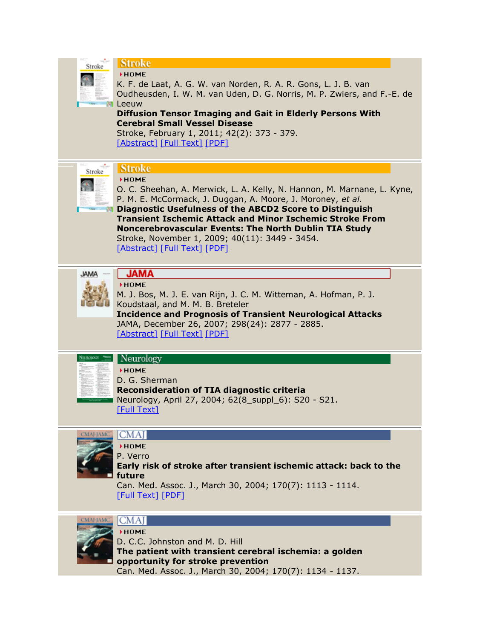| Stroke           | <b>Stroke</b><br>HOME.<br>K. F. de Laat, A. G. W. van Norden, R. A. R. Gons, L. J. B. van<br>Oudheusden, I. W. M. van Uden, D. G. Norris, M. P. Zwiers, and F.-E. de<br><b>Leeuw</b><br><b>Diffusion Tensor Imaging and Gait in Elderly Persons With</b><br><b>Cerebral Small Vessel Disease</b><br>Stroke, February 1, 2011; 42(2): 373 - 379.<br>[Abstract] [Full Text] [PDF]                                                                 |
|------------------|-------------------------------------------------------------------------------------------------------------------------------------------------------------------------------------------------------------------------------------------------------------------------------------------------------------------------------------------------------------------------------------------------------------------------------------------------|
| Stroke           | <b>Stroke</b><br>HOME<br>O. C. Sheehan, A. Merwick, L. A. Kelly, N. Hannon, M. Marnane, L. Kyne,<br>P. M. E. McCormack, J. Duggan, A. Moore, J. Moroney, et al.<br><b>Diagnostic Usefulness of the ABCD2 Score to Distinguish</b><br><b>Transient Ischemic Attack and Minor Ischemic Stroke From</b><br>Noncerebrovascular Events: The North Dublin TIA Study<br>Stroke, November 1, 2009; 40(11): 3449 - 3454.<br>[Abstract] [Full Text] [PDF] |
| <b>JAMA</b>      | <b>JAMA</b><br>HOME<br>M. J. Bos, M. J. E. van Rijn, J. C. M. Witteman, A. Hofman, P. J.<br>Koudstaal, and M. M. B. Breteler<br><b>Incidence and Prognosis of Transient Neurological Attacks</b><br>JAMA, December 26, 2007; 298(24): 2877 - 2885.<br>[Abstract] [Full Text] [PDF]                                                                                                                                                              |
|                  | Neurology<br>HOME<br>D. G. Sherman<br><b>Reconsideration of TIA diagnostic criteria</b><br>Neurology, April 27, 2004; 62(8_suppl_6): S20 - S21.<br>[Full Text]                                                                                                                                                                                                                                                                                  |
|                  | <b>CMAI</b><br>HOME<br>P. Verro<br>Early risk of stroke after transient ischemic attack: back to the<br>future<br>Can. Med. Assoc. J., March 30, 2004; 170(7): 1113 - 1114.<br><b>[Full Text] [PDF]</b>                                                                                                                                                                                                                                         |
| <b>CMAI-IAMC</b> | ICMA<br><b>HOME</b><br>D. C.C. Johnston and M. D. Hill<br>The patient with transient cerebral ischemia: a golden<br>opportunity for stroke prevention<br>Can. Med. Assoc. J., March 30, 2004; 170(7): 1134 - 1137.                                                                                                                                                                                                                              |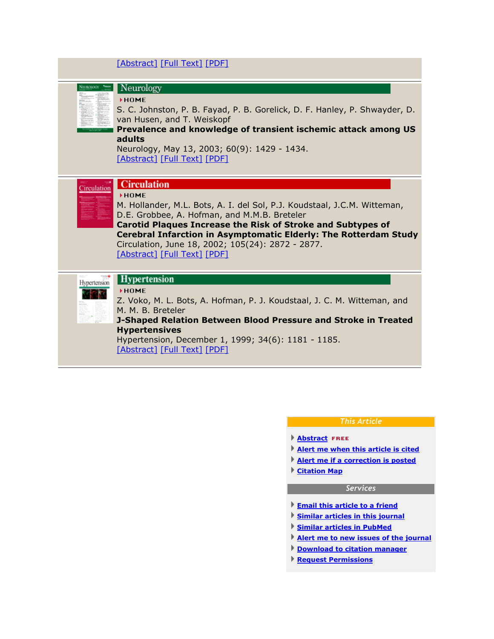|  | [Abstract] [Full Text] [PDF] |  |  |
|--|------------------------------|--|--|
|--|------------------------------|--|--|

|              | Neurology<br><b>NHOME</b><br>S. C. Johnston, P. B. Fayad, P. B. Gorelick, D. F. Hanley, P. Shwayder, D.<br>van Husen, and T. Weiskopf<br>Prevalence and knowledge of transient ischemic attack among US<br>adults<br>Neurology, May 13, 2003; 60(9): 1429 - 1434.<br>[Abstract] [Full Text] [PDF]                                                                                             |
|--------------|-----------------------------------------------------------------------------------------------------------------------------------------------------------------------------------------------------------------------------------------------------------------------------------------------------------------------------------------------------------------------------------------------|
| Circulation  | Circulation<br><b>NHOME</b><br>M. Hollander, M.L. Bots, A. I. del Sol, P.J. Koudstaal, J.C.M. Witteman,<br>D.E. Grobbee, A. Hofman, and M.M.B. Breteler<br><b>Carotid Plaques Increase the Risk of Stroke and Subtypes of</b><br><b>Cerebral Infarction in Asymptomatic Elderly: The Rotterdam Study</b><br>Circulation, June 18, 2002; 105(24): 2872 - 2877.<br>[Abstract] [Full Text] [PDF] |
| Hypertension | <b>Hypertension</b><br><b>FHOME</b><br>Z. Voko, M. L. Bots, A. Hofman, P. J. Koudstaal, J. C. M. Witteman, and<br>M. M. B. Breteler<br>J-Shaped Relation Between Blood Pressure and Stroke in Treated<br><b>Hypertensives</b><br>Hypertension, December 1, 1999; 34(6): 1181 - 1185.<br>[Abstract] [Full Text] [PDF]                                                                          |

### *This Article*

- **[Abstract](http://stroke.ahajournals.org/cgi/content/abstract/28/4/768) FREE**
- **[Alert me when this article is cited](http://stroke.ahajournals.org/cgi/alerts/ctalert?alertType=citedby&addAlert=cited_by&saveAlert=no&cited_by_criteria_resid=strokeaha;28/4/768&return_type=article&return_url=http%3A%2F%2Fstroke.ahajournals.org%2Fcgi%2Fcontent%2Ffull%2F28%2F4%2F768)**
- **Alert me if a [correction is posted](http://stroke.ahajournals.org/cgi/alerts/ctalert?alertType=correction&addAlert=correction&saveAlert=no&correction_criteria_value=28/4/768&return_type=article&return_url=http%3A%2F%2Fstroke.ahajournals.org%2Fcgi%2Fcontent%2Ffull%2F28%2F4%2F768)**
- **[Citation Map](http://stroke.ahajournals.org/cgi/citemap?id=strokeaha;28/4/768)**

### *Services*

- **[Email this article to a friend](http://stroke.ahajournals.org/cgi/mailafriend?url=http%3A%2F%2Fstroke.ahajournals.org%2Fcgi%2Fcontent%2Ffull%2F28%2F4%2F768&title=Transient+Neurological+Attacks+in+the+General+Population+%3A+Prevalence%2C+Risk+Factors%2C+and+Clinical+Relevance)**
- **[Similar articles in this journal](http://stroke.ahajournals.org/cgi/search?qbe=strokeaha;28/4/768&journalcode=strokeaha&minscore=5000)**
- **[Similar articles in PubMed](http://stroke.ahajournals.org/cgi/external_ref?access_num=9099194&link_type=MED_NBRS)**
- **[Alert me to new issues of the journal](http://www.ahajournals.org/cgi/alerts/etoc)**
- **[Download to citation manager](http://stroke.ahajournals.org/cgi/citmgr?gca=strokeaha;28/4/768)**
- **Request Permissions**